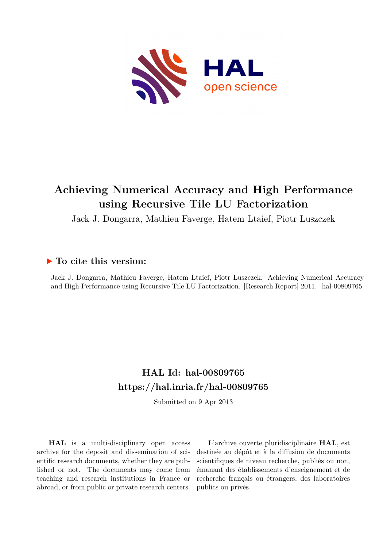

# **Achieving Numerical Accuracy and High Performance using Recursive Tile LU Factorization**

Jack J. Dongarra, Mathieu Faverge, Hatem Ltaief, Piotr Luszczek

## **To cite this version:**

Jack J. Dongarra, Mathieu Faverge, Hatem Ltaief, Piotr Luszczek. Achieving Numerical Accuracy and High Performance using Recursive Tile LU Factorization. [Research Report] 2011. hal-00809765

# **HAL Id: hal-00809765 <https://hal.inria.fr/hal-00809765>**

Submitted on 9 Apr 2013

**HAL** is a multi-disciplinary open access archive for the deposit and dissemination of scientific research documents, whether they are published or not. The documents may come from teaching and research institutions in France or abroad, or from public or private research centers.

L'archive ouverte pluridisciplinaire **HAL**, est destinée au dépôt et à la diffusion de documents scientifiques de niveau recherche, publiés ou non, émanant des établissements d'enseignement et de recherche français ou étrangers, des laboratoires publics ou privés.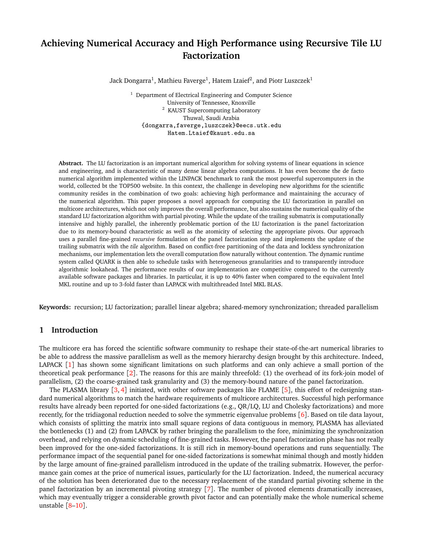## **Achieving Numerical Accuracy and High Performance using Recursive Tile LU Factorization**

Jack Dongarra $^1$ , Mathieu Faverge $^1$ , Hatem Ltaief $^2$ , and Piotr Luszczek $^1$ 

<sup>1</sup> Department of Electrical Engineering and Computer Science University of Tennessee, Knoxville <sup>2</sup> KAUST Supercomputing Laboratory Thuwal, Saudi Arabia {dongarra,faverge,luszczek}@eecs.utk.edu Hatem.Ltaief@kaust.edu.sa

**Abstract.** The LU factorization is an important numerical algorithm for solving systems of linear equations in science and engineering, and is characteristic of many dense linear algebra computations. It has even become the de facto numerical algorithm implemented within the LINPACK benchmark to rank the most powerful supercomputers in the world, collected bt the TOP500 website. In this context, the challenge in developing new algorithms for the scientific community resides in the combination of two goals: achieving high performance and maintaining the accuracy of the numerical algorithm. This paper proposes a novel approach for computing the LU factorization in parallel on multicore architectures, which not only improves the overall performance, but also sustains the numerical quality of the standard LU factorization algorithm with partial pivoting. While the update of the trailing submatrix is computationally intensive and highly parallel, the inherently problematic portion of the LU factorization is the panel factorization due to its memory-bound characteristic as well as the atomicity of selecting the appropriate pivots. Our approach uses a parallel fine-grained *recursive* formulation of the panel factorization step and implements the update of the trailing submatrix with the *tile* algorithm. Based on conflict-free partitioning of the data and lockless synchronization mechanisms, our implementation lets the overall computation flow naturally without contention. The dynamic runtime system called QUARK is then able to schedule tasks with heterogeneous granularities and to transparently introduce algorithmic lookahead. The performance results of our implementation are competitive compared to the currently available software packages and libraries. In particular, it is up to 40% faster when compared to the equivalent Intel MKL routine and up to 3-fold faster than LAPACK with multithreaded Intel MKL BLAS.

**Keywords:** recursion; LU factorization; parallel linear algebra; shared-memory synchronization; threaded parallelism

## **1 Introduction**

The multicore era has forced the scientific software community to reshape their state-of-the-art numerical libraries to be able to address the massive parallelism as well as the memory hierarchy design brought by this architecture. Indeed, LAPACK [1] has shown some significant limitations on such platforms and can only achieve a small portion of the theoretical peak performance [2]. The reasons for this are mainly threefold: (1) the overhead of its fork-join model of parallelism, (2) the coarse-grained task granularity and (3) the memory-bound nature of the panel factorization.

The PLASMA library  $\lceil 3, 4 \rceil$  initiated, with other software packages like FLAME  $\lceil 5 \rceil$ , this effort of redesigning standard numerical algorithms to match the hardware requirements of multicore architectures. Successful high performance results have already been reported for one-sided factorizations (e.g., QR/LQ, LU and Cholesky factorizations) and more recently, for the tridiagonal reduction needed to solve the symmetric eigenvalue problems [6]. Based on tile data layout, which consists of splitting the matrix into small square regions of data contiguous in memory, PLASMA has alleviated the bottlenecks (1) and (2) from LAPACK by rather bringing the parallelism to the fore, minimizing the synchronization overhead, and relying on dynamic scheduling of fine-grained tasks. However, the panel factorization phase has not really been improved for the one-sided factorizations. It is still rich in memory-bound operations and runs sequentially. The performance impact of the sequential panel for one-sided factorizations is somewhat minimal though and mostly hidden by the large amount of fine-grained parallelism introduced in the update of the trailing submatrix. However, the performance gain comes at the price of numerical issues, particularly for the LU factorization. Indeed, the numerical accuracy of the solution has been deteriorated due to the necessary replacement of the standard partial pivoting scheme in the panel factorization by an incremental pivoting strategy [7]. The number of pivoted elements dramatically increases, which may eventually trigger a considerable growth pivot factor and can potentially make the whole numerical scheme unstable [8-10].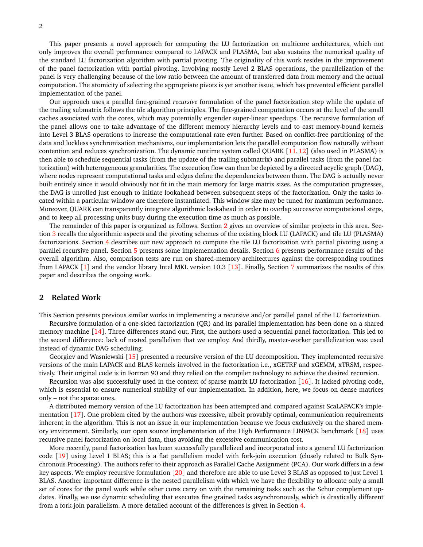This paper presents a novel approach for computing the LU factorization on multicore architectures, which not only improves the overall performance compared to LAPACK and PLASMA, but also sustains the numerical quality of the standard LU factorization algorithm with partial pivoting. The originality of this work resides in the improvement of the panel factorization with partial pivoting. Involving mostly Level 2 BLAS operations, the parallelization of the panel is very challenging because of the low ratio between the amount of transferred data from memory and the actual computation. The atomicity of selecting the appropriate pivots is yet another issue, which has prevented efficient parallel implementation of the panel.

Our approach uses a parallel fine-grained *recursive* formulation of the panel factorization step while the update of the trailing submatrix follows the *tile* algorithm principles. The fine-grained computation occurs at the level of the small caches associated with the cores, which may potentially engender super-linear speedups. The recursive formulation of the panel allows one to take advantage of the different memory hierarchy levels and to cast memory-bound kernels into Level 3 BLAS operations to increase the computational rate even further. Based on conflict-free partitioning of the data and lockless synchronization mechanisms, our implementation lets the parallel computation flow naturally without contention and reduces synchronization. The dynamic runtime system called QUARK  $\lceil 11, 12 \rceil$  (also used in PLASMA) is then able to schedule sequential tasks (from the update of the trailing submatrix) and parallel tasks (from the panel factorization) with heterogeneous granularities. The execution flow can then be depicted by a directed acyclic graph (DAG), where nodes represent computational tasks and edges define the dependencies between them. The DAG is actually never built entirely since it would obviously not fit in the main memory for large matrix sizes. As the computation progresses, the DAG is unrolled just enough to initiate lookahead between subsequent steps of the factorization. Only the tasks located within a particular window are therefore instantiated. This window size may be tuned for maximum performance. Moreover, QUARK can transparently integrate algorithmic lookahead in order to overlap successive computational steps, and to keep all processing units busy during the execution time as much as possible.

The remainder of this paper is organized as follows. Section 2 gives an overview of similar projects in this area. Section 3 recalls the algorithmic aspects and the pivoting schemes of the existing block LU (LAPACK) and tile LU (PLASMA) factorizations. Section 4 describes our new approach to compute the tile LU factorization with partial pivoting using a parallel recursive panel. Section 5 presents some implementation details. Section 6 presents performance results of the overall algorithm. Also, comparison tests are run on shared-memory architectures against the corresponding routines from LAPACK [1] and the vendor library Intel MKL version 10.3 [13]. Finally, Section 7 summarizes the results of this paper and describes the ongoing work.

## **2 Related Work**

This Section presents previous similar works in implementing a recursive and/or parallel panel of the LU factorization.

Recursive formulation of a one-sided factorization (QR) and its parallel implementation has been done on a shared memory machine [14]. Three differences stand out. First, the authors used a sequential panel factorization. This led to the second difference: lack of nested parallelism that we employ. And thirdly, master-worker parallelization was used instead of dynamic DAG scheduling.

Georgiev and Wasniewski [15] presented a recursive version of the LU decomposition. They implemented recursive versions of the main LAPACK and BLAS kernels involved in the factorization i.e., xGETRF and xGEMM, xTRSM, respectively. Their original code is in Fortran 90 and they relied on the compiler technology to achieve the desired recursion.

Recursion was also successfully used in the context of sparse matrix LU factorization [16]. It lacked pivoting code, which is essential to ensure numerical stability of our implementation. In addition, here, we focus on dense matrices only – not the sparse ones.

A distributed memory version of the LU factorization has been attempted and compared against ScaLAPACK's implementation  $[17]$ . One problem cited by the authors was excessive, albeit provably optimal, communication requirements inherent in the algorithm. This is not an issue in our implementation because we focus exclusively on the shared memory environment. Similarly, our open source implementation of the High Performance LINPACK benchmark [18] uses recursive panel factorization on local data, thus avoiding the excessive communication cost.

More recently, panel factorization has been successfully parallelized and incorporated into a general LU factorization code [19] using Level 1 BLAS; this is a flat parallelism model with fork-join execution (closely related to Bulk Synchronous Processing). The authors refer to their approach as Parallel Cache Assignment (PCA). Our work differs in a few key aspects. We employ recursive formulation  $\lceil 20 \rceil$  and therefore are able to use Level 3 BLAS as opposed to just Level 1 BLAS. Another important difference is the nested parallelism with which we have the flexibility to allocate only a small set of cores for the panel work while other cores carry on with the remaining tasks such as the Schur complement updates. Finally, we use dynamic scheduling that executes fine grained tasks asynchronously, which is drastically different from a fork-join parallelism. A more detailed account of the differences is given in Section 4.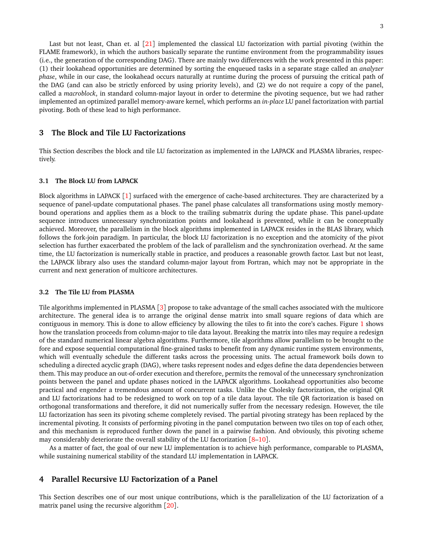Last but not least, Chan et. al [21] implemented the classical LU factorization with partial pivoting (within the FLAME framework), in which the authors basically separate the runtime environment from the programmability issues (i.e., the generation of the corresponding DAG). There are mainly two differences with the work presented in this paper: (1) their lookahead opportunities are determined by sorting the enqueued tasks in a separate stage called an *analyzer phase*, while in our case, the lookahead occurs naturally at runtime during the process of pursuing the critical path of the DAG (and can also be strictly enforced by using priority levels), and (2) we do not require a copy of the panel, called a *macroblock*, in standard column-major layout in order to determine the pivoting sequence, but we had rather implemented an optimized parallel memory-aware kernel, which performs an *in-place* LU panel factorization with partial pivoting. Both of these lead to high performance.

## **3 The Block and Tile LU Factorizations**

This Section describes the block and tile LU factorization as implemented in the LAPACK and PLASMA libraries, respectively.

#### **3.1 The Block LU from LAPACK**

Block algorithms in LAPACK [1] surfaced with the emergence of cache-based architectures. They are characterized by a sequence of panel-update computational phases. The panel phase calculates all transformations using mostly memorybound operations and applies them as a block to the trailing submatrix during the update phase. This panel-update sequence introduces unnecessary synchronization points and lookahead is prevented, while it can be conceptually achieved. Moreover, the parallelism in the block algorithms implemented in LAPACK resides in the BLAS library, which follows the fork-join paradigm. In particular, the block LU factorization is no exception and the atomicity of the pivot selection has further exacerbated the problem of the lack of parallelism and the synchronization overhead. At the same time, the LU factorization is numerically stable in practice, and produces a reasonable growth factor. Last but not least, the LAPACK library also uses the standard column-major layout from Fortran, which may not be appropriate in the current and next generation of multicore architectures.

## **3.2 The Tile LU from PLASMA**

Tile algorithms implemented in PLASMA [3] propose to take advantage of the small caches associated with the multicore architecture. The general idea is to arrange the original dense matrix into small square regions of data which are contiguous in memory. This is done to allow efficiency by allowing the tiles to fit into the core's caches. Figure 1 shows how the translation proceeds from column-major to tile data layout. Breaking the matrix into tiles may require a redesign of the standard numerical linear algebra algorithms. Furthermore, tile algorithms allow parallelism to be brought to the fore and expose sequential computational fine-grained tasks to benefit from any dynamic runtime system environments, which will eventually schedule the different tasks across the processing units. The actual framework boils down to scheduling a directed acyclic graph (DAG), where tasks represent nodes and edges define the data dependencies between them. This may produce an out-of-order execution and therefore, permits the removal of the unnecessary synchronization points between the panel and update phases noticed in the LAPACK algorithms. Lookahead opportunities also become practical and engender a tremendous amount of concurrent tasks. Unlike the Cholesky factorization, the original QR and LU factorizations had to be redesigned to work on top of a tile data layout. The tile QR factorization is based on orthogonal transformations and therefore, it did not numerically suffer from the necessary redesign. However, the tile LU factorization has seen its pivoting scheme completely revised. The partial pivoting strategy has been replaced by the incremental pivoting. It consists of performing pivoting in the panel computation between two tiles on top of each other, and this mechanism is reproduced further down the panel in a pairwise fashion. And obviously, this pivoting scheme may considerably deteriorate the overall stability of the LU factorization  $[8–10]$ .

As a matter of fact, the goal of our new LU implementation is to achieve high performance, comparable to PLASMA, while sustaining numerical stability of the standard LU implementation in LAPACK.

## **4 Parallel Recursive LU Factorization of a Panel**

This Section describes one of our most unique contributions, which is the parallelization of the LU factorization of a matrix panel using the recursive algorithm [20].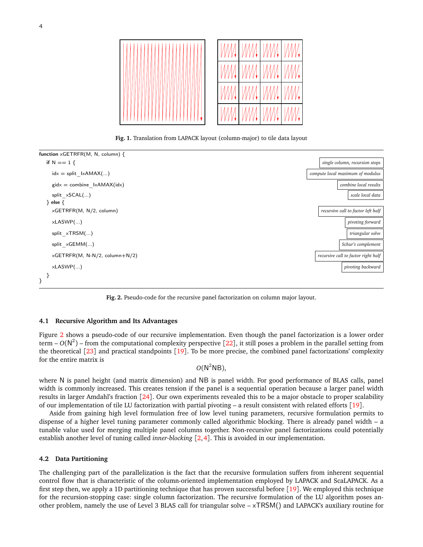

**Fig. 1.** Translation from LAPACK layout (column-major) to tile data layout

| function $\times$ GETRFR(M, N, column) {                  |                                     |
|-----------------------------------------------------------|-------------------------------------|
| if $N == 1$ {                                             | single column, recursion stops      |
| $idx = split \quad kAMAX()$                               | compute local maximum of modulus    |
| $\text{gidx} = \text{combine } \text{lxAMAX}(\text{idx})$ | combine local results               |
| split xSCAL()<br>$\}$ else $\{$                           | scale local data                    |
| xGETRFR(M, N/2, column)                                   | recursive call to factor left half  |
| $x$ LASWP $()$                                            | pivoting forward                    |
| split $\times$ TRSM $()$                                  | triangular solve                    |
| split xGEMM()                                             | Schur's complement                  |
| xGETRFR(M, N-N/2, column+N/2)                             | recursive call to factor right half |
| $x$ LASWP $()$                                            | pivoting backward                   |
|                                                           |                                     |

**Fig. 2.** Pseudo-code for the recursive panel factorization on column major layout.

#### **4.1 Recursive Algorithm and Its Advantages**

Figure 2 shows a pseudo-code of our recursive implementation. Even though the panel factorization is a lower order term –  $O(N^2)$  – from the computational complexity perspective [22], it still poses a problem in the parallel setting from the theoretical [23] and practical standpoints [19]. To be more precise, the combined panel factorizations' complexity for the entire matrix is

*O*(N <sup>2</sup>NB),

where N is panel height (and matrix dimension) and NB is panel width. For good performance of BLAS calls, panel width is commonly increased. This creates tension if the panel is a sequential operation because a larger panel width results in larger Amdahl's fraction [24]. Our own experiments revealed this to be a major obstacle to proper scalability of our implementation of tile LU factorization with partial pivoting – a result consistent with related efforts [19].

Aside from gaining high level formulation free of low level tuning parameters, recursive formulation permits to dispense of a higher level tuning parameter commonly called algorithmic blocking. There is already panel width – a tunable value used for merging multiple panel columns together. Non-recursive panel factorizations could potentially establish another level of tuning called *inner-blocking* [2,4]. This is avoided in our implementation.

### **4.2 Data Partitioning**

The challenging part of the parallelization is the fact that the recursive formulation suffers from inherent sequential control flow that is characteristic of the column-oriented implementation employed by LAPACK and ScaLAPACK. As a first step then, we apply a 1D partitioning technique that has proven successful before  $[19]$ . We employed this technique for the recursion-stopping case: single column factorization. The recursive formulation of the LU algorithm poses another problem, namely the use of Level 3 BLAS call for triangular solve  $-xTRSM()$  and LAPACK's auxiliary routine for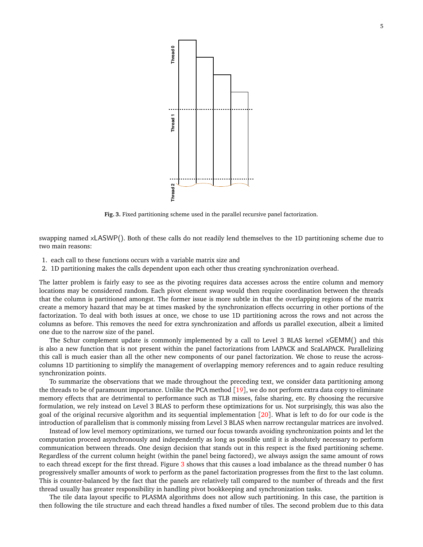

**Fig. 3.** Fixed partitioning scheme used in the parallel recursive panel factorization.

swapping named xLASWP(). Both of these calls do not readily lend themselves to the 1D partitioning scheme due to two main reasons:

- 1. each call to these functions occurs with a variable matrix size and
- 2. 1D partitioning makes the calls dependent upon each other thus creating synchronization overhead.

The latter problem is fairly easy to see as the pivoting requires data accesses across the entire column and memory locations may be considered random. Each pivot element swap would then require coordination between the threads that the column is partitioned amongst. The former issue is more subtle in that the overlapping regions of the matrix create a memory hazard that may be at times masked by the synchronization effects occurring in other portions of the factorization. To deal with both issues at once, we chose to use 1D partitioning across the rows and not across the columns as before. This removes the need for extra synchronization and affords us parallel execution, albeit a limited one due to the narrow size of the panel.

The Schur complement update is commonly implemented by a call to Level 3 BLAS kernel xGEMM() and this is also a new function that is not present within the panel factorizations from LAPACK and ScaLAPACK. Parallelizing this call is much easier than all the other new components of our panel factorization. We chose to reuse the acrosscolumns 1D partitioning to simplify the management of overlapping memory references and to again reduce resulting synchronization points.

To summarize the observations that we made throughout the preceding text, we consider data partitioning among the threads to be of paramount importance. Unlike the PCA method  $\lceil 19 \rceil$ , we do not perform extra data copy to eliminate memory effects that are detrimental to performance such as TLB misses, false sharing, etc. By choosing the recursive formulation, we rely instead on Level 3 BLAS to perform these optimizations for us. Not surprisingly, this was also the goal of the original recursive algorithm and its sequential implementation  $\lceil 20 \rceil$ . What is left to do for our code is the introduction of parallelism that is commonly missing from Level 3 BLAS when narrow rectangular matrices are involved.

Instead of low level memory optimizations, we turned our focus towards avoiding synchronization points and let the computation proceed asynchronously and independently as long as possible until it is absolutely necessary to perform communication between threads. One design decision that stands out in this respect is the fixed partitioning scheme. Regardless of the current column height (within the panel being factored), we always assign the same amount of rows to each thread except for the first thread. Figure 3 shows that this causes a load imbalance as the thread number 0 has progressively smaller amounts of work to perform as the panel factorization progresses from the first to the last column. This is counter-balanced by the fact that the panels are relatively tall compared to the number of threads and the first thread usually has greater responsibility in handling pivot bookkeeping and synchronization tasks.

The tile data layout specific to PLASMA algorithms does not allow such partitioning. In this case, the partition is then following the tile structure and each thread handles a fixed number of tiles. The second problem due to this data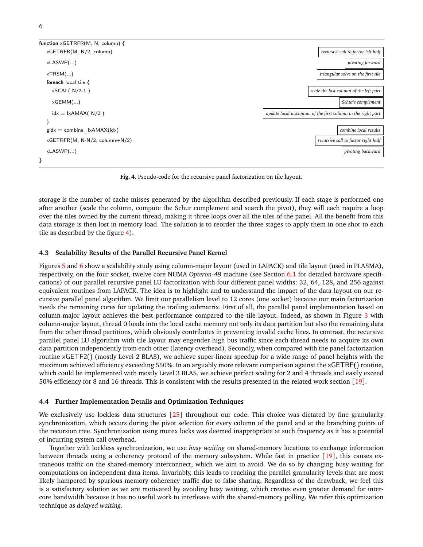| function xGETRFR(M, N, column) {                          |                                                            |
|-----------------------------------------------------------|------------------------------------------------------------|
| xGETRFR(M, N/2, column)                                   | recursive call to factor left half                         |
| $x$ LASWP $()$                                            | pivoting forward                                           |
| $xTRSM$ ()                                                | triangular solve on the first tile                         |
| foreach local tile $\{$                                   |                                                            |
| $xSCAL( N/2-1 )$                                          | scale the last column of the left part                     |
| $xGEMM$ ()                                                | Schur's complement                                         |
| $idx = kAMAX(N/2)$                                        | update local maximum of the first column in the right part |
|                                                           |                                                            |
| $\text{gidx} = \text{combine } \text{lxAMAX}(\text{idx})$ | combine local results                                      |
| xGETRFR(M, N-N/2, column+N/2)                             | recursive call to factor right half                        |
| $x$ LASWP $()$                                            | pivoting backward                                          |
|                                                           |                                                            |

**Fig. 4.** Pseudo-code for the recursive panel factorization on tile layout.

storage is the number of cache misses generated by the algorithm described previously. If each stage is performed one after another (scale the column, compute the Schur complement and search the pivot), they will each require a loop over the tiles owned by the current thread, making it three loops over all the tiles of the panel. All the benefit from this data storage is then lost in memory load. The solution is to reorder the three stages to apply them in one shot to each tile as described by the figure 4).

#### **4.3 Scalability Results of the Parallel Recursive Panel Kernel**

Figures 5 and 6 show a scalability study using column-major layout (used in LAPACK) and tile layout (used in PLASMA), respectively, on the four socket, twelve core NUMA *Opteron-48* machine (see Section 6.1 for detailed hardware specifications) of our parallel recursive panel LU factorization with four different panel widths: 32, 64, 128, and 256 against equivalent routines from LAPACK. The idea is to highlight and to understand the impact of the data layout on our recursive parallel panel algorithm. We limit our parallelism level to 12 cores (one socket) because our main factorization needs the remaining cores for updating the trailing submatrix. First of all, the parallel panel implementation based on column-major layout achieves the best performance compared to the tile layout. Indeed, as shown in Figure 3 with column-major layout, thread 0 loads into the local cache memory not only its data partition but also the remaining data from the other thread partitions, which obviously contributes in preventing invalid cache lines. In contrast, the recursive parallel panel LU algorithm with tile layout may engender high bus traffic since each thread needs to acquire its own data partition independently from each other (latency overhead). Secondly, when compared with the panel factorization routine xGETF2() (mostly Level 2 BLAS), we achieve super-linear speedup for a wide range of panel heights with the maximum achieved efficiency exceeding 550%. In an arguably more relevant comparison against the xGETRF() routine, which could be implemented with mostly Level 3 BLAS, we achieve perfect scaling for 2 and 4 threads and easily exceed 50% efficiency for 8 and 16 threads. This is consistent with the results presented in the related work section [19].

#### **4.4 Further Implementation Details and Optimization Techniques**

We exclusively use lockless data structures [25] throughout our code. This choice was dictated by fine granularity synchronization, which occurs during the pivot selection for every column of the panel and at the branching points of the recursion tree. Synchronization using mutex locks was deemed inappropriate at such frequency as it has a potential of incurring system call overhead.

Together with lockless synchronization, we use *busy waiting* on shared-memory locations to exchange information between threads using a coherency protocol of the memory subsystem. While fast in practice [19], this causes extraneous traffic on the shared-memory interconnect, which we aim to avoid. We do so by changing busy waiting for computations on independent data items. Invariably, this leads to reaching the parallel granularity levels that are most likely hampered by spurious memory coherency traffic due to false sharing. Regardless of the drawback, we feel this is a satisfactory solution as we are motivated by avoiding busy waiting, which creates even greater demand for intercore bandwidth because it has no useful work to interleave with the shared-memory polling. We refer this optimization technique as *delayed waiting*.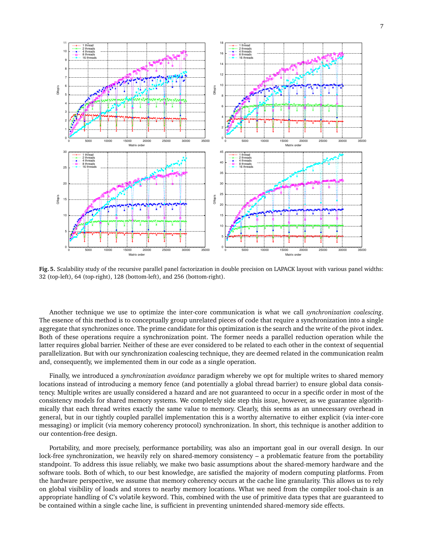



18

1 thread

11

1 thread

**Fig. 5.** Scalability study of the recursive parallel panel factorization in double precision on LAPACK layout with various panel widths: 32 (top-left), 64 (top-right), 128 (bottom-left), and 256 (bottom-right).

Another technique we use to optimize the inter-core communication is what we call *synchronization coalescing*. The essence of this method is to conceptually group unrelated pieces of code that require a synchronization into a single aggregate that synchronizes once. The prime candidate for this optimization is the search and the write of the pivot index. Both of these operations require a synchronization point. The former needs a parallel reduction operation while the latter requires global barrier. Neither of these are ever considered to be related to each other in the context of sequential parallelization. But with our synchronization coalescing technique, they are deemed related in the communication realm and, consequently, we implemented them in our code as a single operation.

Finally, we introduced a *synchronization avoidance* paradigm whereby we opt for multiple writes to shared memory locations instead of introducing a memory fence (and potentially a global thread barrier) to ensure global data consistency. Multiple writes are usually considered a hazard and are not guaranteed to occur in a specific order in most of the consistency models for shared memory systems. We completely side step this issue, however, as we guarantee algorithmically that each thread writes exactly the same value to memory. Clearly, this seems as an unnecessary overhead in general, but in our tightly coupled parallel implementation this is a worthy alternative to either explicit (via inter-core messaging) or implicit (via memory coherency protocol) synchronization. In short, this technique is another addition to our contention-free design.

Portability, and more precisely, performance portability, was also an important goal in our overall design. In our lock-free synchronization, we heavily rely on shared-memory consistency – a problematic feature from the portability standpoint. To address this issue reliably, we make two basic assumptions about the shared-memory hardware and the software tools. Both of which, to our best knowledge, are satisfied the majority of modern computing platforms. From the hardware perspective, we assume that memory coherency occurs at the cache line granularity. This allows us to rely on global visibility of loads and stores to nearby memory locations. What we need from the compiler tool-chain is an appropriate handling of C's volatile keyword. This, combined with the use of primitive data types that are guaranteed to be contained within a single cache line, is sufficient in preventing unintended shared-memory side effects.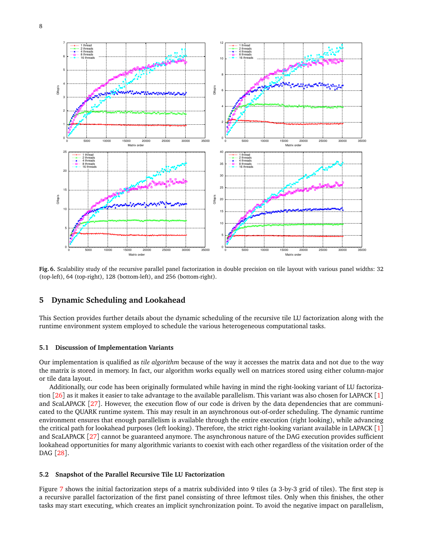

**Fig. 6.** Scalability study of the recursive parallel panel factorization in double precision on tile layout with various panel widths: 32 (top-left), 64 (top-right), 128 (bottom-left), and 256 (bottom-right).

## **5 Dynamic Scheduling and Lookahead**

This Section provides further details about the dynamic scheduling of the recursive tile LU factorization along with the runtime environment system employed to schedule the various heterogeneous computational tasks.

#### **5.1 Discussion of Implementation Variants**

Our implementation is qualified as *tile algorithm* because of the way it accesses the matrix data and not due to the way the matrix is stored in memory. In fact, our algorithm works equally well on matrices stored using either column-major or tile data layout.

Additionally, our code has been originally formulated while having in mind the right-looking variant of LU factorization  $[26]$  as it makes it easier to take advantage to the available parallelism. This variant was also chosen for LAPACK  $[1]$ and ScaLAPACK [27]. However, the execution flow of our code is driven by the data dependencies that are communicated to the QUARK runtime system. This may result in an asynchronous out-of-order scheduling. The dynamic runtime environment ensures that enough parallelism is available through the entire execution (right looking), while advancing the critical path for lookahead purposes (left looking). Therefore, the strict right-looking variant available in LAPACK [1] and ScaLAPACK [27] cannot be guaranteed anymore. The asynchronous nature of the DAG execution provides sufficient lookahead opportunities for many algorithmic variants to coexist with each other regardless of the visitation order of the DAG [28].

#### **5.2 Snapshot of the Parallel Recursive Tile LU Factorization**

Figure 7 shows the initial factorization steps of a matrix subdivided into 9 tiles (a 3-by-3 grid of tiles). The first step is a recursive parallel factorization of the first panel consisting of three leftmost tiles. Only when this finishes, the other tasks may start executing, which creates an implicit synchronization point. To avoid the negative impact on parallelism,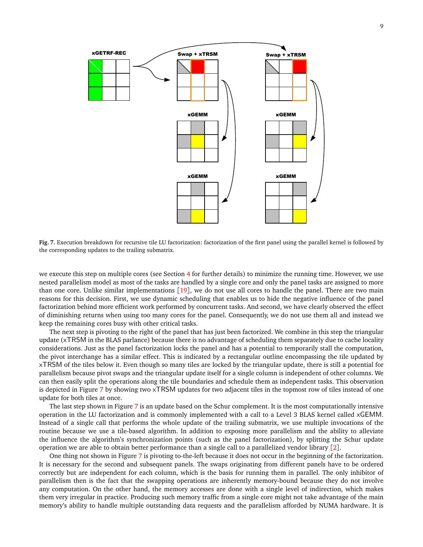

**Fig. 7.** Execution breakdown for recursive tile LU factorization: factorization of the first panel using the parallel kernel is followed by the corresponding updates to the trailing submatrix.

we execute this step on multiple cores (see Section 4 for further details) to minimize the running time. However, we use nested parallelism model as most of the tasks are handled by a single core and only the panel tasks are assigned to more than one core. Unlike similar implementations [19], we do not use all cores to handle the panel. There are two main reasons for this decision. First, we use dynamic scheduling that enables us to hide the negative influence of the panel factorization behind more efficient work performed by concurrent tasks. And second, we have clearly observed the effect of diminishing returns when using too many cores for the panel. Consequently, we do not use them all and instead we keep the remaining cores busy with other critical tasks.

The next step is pivoting to the right of the panel that has just been factorized. We combine in this step the triangular update (xTRSM in the BLAS parlance) because there is no advantage of scheduling them separately due to cache locality considerations. Just as the panel factorization locks the panel and has a potential to temporarily stall the computation, the pivot interchange has a similar effect. This is indicated by a rectangular outline encompassing the tile updated by xTRSM of the tiles below it. Even though so many tiles are locked by the triangular update, there is still a potential for parallelism because pivot swaps and the triangular update itself for a single column is independent of other columns. We can then easily split the operations along the tile boundaries and schedule them as independent tasks. This observation is depicted in Figure 7 by showing two xTRSM updates for two adjacent tiles in the topmost row of tiles instead of one update for both tiles at once.

The last step shown in Figure 7 is an update based on the Schur complement. It is the most computationally intensive operation in the LU factorization and is commonly implemented with a call to a Level 3 BLAS kernel called xGEMM. Instead of a single call that performs the whole update of the trailing submatrix, we use multiple invocations of the routine because we use a tile-based algorithm. In addition to exposing more parallelism and the ability to alleviate the influence the algorithm's synchronization points (such as the panel factorization), by splitting the Schur update operation we are able to obtain better performance than a single call to a parallelized vendor library [2].

One thing not shown in Figure 7 is pivoting to-the-left because it does not occur in the beginning of the factorization. It is necessary for the second and subsequent panels. The swaps originating from different panels have to be ordered correctly but are independent for each column, which is the basis for running them in parallel. The only inhibitor of parallelism then is the fact that the swapping operations are inherently memory-bound because they do not involve any computation. On the other hand, the memory accesses are done with a single level of indirection, which makes them very irregular in practice. Producing such memory traffic from a single core might not take advantage of the main memory's ability to handle multiple outstanding data requests and the parallelism afforded by NUMA hardware. It is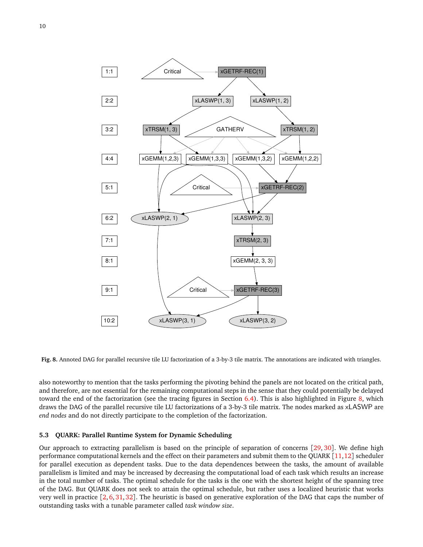

**Fig. 8.** Annoted DAG for parallel recursive tile LU factorization of a 3-by-3 tile matrix. The annotations are indicated with triangles.

also noteworthy to mention that the tasks performing the pivoting behind the panels are not located on the critical path, and therefore, are not essential for the remaining computational steps in the sense that they could potentially be delayed toward the end of the factorization (see the tracing figures in Section 6.4). This is also highlighted in Figure 8, which draws the DAG of the parallel recursive tile LU factorizations of a 3-by-3 tile matrix. The nodes marked as xLASWP are *end nodes* and do not directly participate to the completion of the factorization.

## **5.3 QUARK: Parallel Runtime System for Dynamic Scheduling**

Our approach to extracting parallelism is based on the principle of separation of concerns [29, 30]. We define high performance computational kernels and the effect on their parameters and submit them to the QUARK [11,12] scheduler for parallel execution as dependent tasks. Due to the data dependences between the tasks, the amount of available parallelism is limited and may be increased by decreasing the computational load of each task which results an increase in the total number of tasks. The optimal schedule for the tasks is the one with the shortest height of the spanning tree of the DAG. But QUARK does not seek to attain the optimal schedule, but rather uses a localized heuristic that works very well in practice [2, 6, 31, 32]. The heuristic is based on generative exploration of the DAG that caps the number of outstanding tasks with a tunable parameter called *task window size*.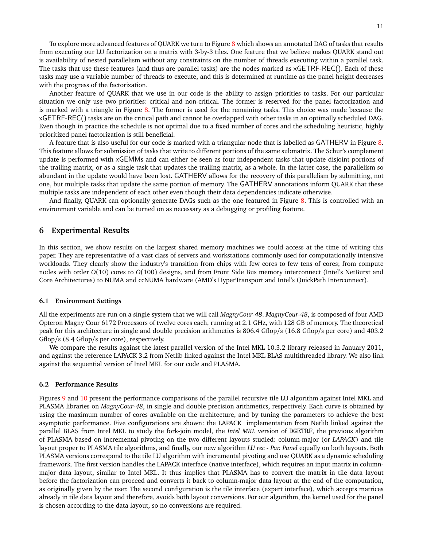To explore more advanced features of QUARK we turn to Figure 8 which shows an annotated DAG of tasks that results from executing our LU factorization on a matrix with 3-by-3 tiles. One feature that we believe makes QUARK stand out is availability of nested parallelism without any constraints on the number of threads executing within a parallel task. The tasks that use these features (and thus are parallel tasks) are the nodes marked as xGETRF-REC(). Each of these tasks may use a variable number of threads to execute, and this is determined at runtime as the panel height decreases with the progress of the factorization.

Another feature of QUARK that we use in our code is the ability to assign priorities to tasks. For our particular situation we only use two priorities: critical and non-critical. The former is reserved for the panel factorization and is marked with a triangle in Figure 8. The former is used for the remaining tasks. This choice was made because the xGETRF-REC() tasks are on the critical path and cannot be overlapped with other tasks in an optimally scheduled DAG. Even though in practice the schedule is not optimal due to a fixed number of cores and the scheduling heuristic, highly prioritized panel factorization is still beneficial.

A feature that is also useful for our code is marked with a triangular node that is labelled as GATHERV in Figure 8. This feature allows for submission of tasks that write to different portions of the same submatrix. The Schur's complement update is performed with xGEMMs and can either be seen as four independent tasks that update disjoint portions of the trailing matrix, or as a single task that updates the trailing matrix, as a whole. In the latter case, the parallelism so abundant in the update would have been lost. GATHERV allows for the recovery of this parallelism by submitting, not one, but multiple tasks that update the same portion of memory. The GATHERV annotations inform QUARK that these multiple tasks are independent of each other even though their data dependencies indicate otherwise.

And finally, QUARK can optionally generate DAGs such as the one featured in Figure 8. This is controlled with an environment variable and can be turned on as necessary as a debugging or profiling feature.

## **6 Experimental Results**

In this section, we show results on the largest shared memory machines we could access at the time of writing this paper. They are representative of a vast class of servers and workstations commonly used for computationally intensive workloads. They clearly show the industry's transition from chips with few cores to few tens of cores; from compute nodes with order *O*(10) cores to *O*(100) designs, and from Front Side Bus memory interconnect (Intel's NetBurst and Core Architectures) to NUMA and ccNUMA hardware (AMD's HyperTransport and Intel's QuickPath Interconnect).

#### **6.1 Environment Settings**

All the experiments are run on a single system that we will call *MagnyCour-48*. *MagnyCour-48*, is composed of four AMD Opteron Magny Cour 6172 Processors of twelve cores each, running at 2.1 GHz, with 128 GB of memory. The theoretical peak for this architecture in single and double precision arithmetics is 806.4 Gflop/s (16.8 Gflop/s per core) and 403.2 Gflop/s (8.4 Gflop/s per core), respectively.

We compare the results against the latest parallel version of the Intel MKL 10.3.2 library released in January 2011, and against the reference LAPACK 3.2 from Netlib linked against the Intel MKL BLAS multithreaded library. We also link against the sequential version of Intel MKL for our code and PLASMA.

#### **6.2 Performance Results**

Figures 9 and 10 present the performance comparisons of the parallel recursive tile LU algorithm against Intel MKL and PLASMA libraries on *MagnyCour-48*, in single and double precision arithmetics, respectively. Each curve is obtained by using the maximum number of cores available on the architecture, and by tuning the parameters to achieve the best asymptotic performance. Five configurations are shown: the LAPACK implementation from Netlib linked against the parallel BLAS from Intel MKL to study the fork-join model, the *Intel MKL* version of DGETRF, the previous algorithm of PLASMA based on incremental pivoting on the two different layouts studied: column-major (or *LAPACK*) and tile layout proper to PLASMA tile algorithms, and finally, our new algorithm *LU rec - Par. Panel* equally on both layouts. Both PLASMA versions correspond to the tile LU algorithm with incremental pivoting and use QUARK as a dynamic scheduling framework. The first version handles the LAPACK interface (native interface), which requires an input matrix in columnmajor data layout, similar to Intel MKL. It thus implies that PLASMA has to convert the matrix in tile data layout before the factorization can proceed and converts it back to column-major data layout at the end of the computation, as originally given by the user. The second configuration is the tile interface (expert interface), which accepts matrices already in tile data layout and therefore, avoids both layout conversions. For our algorithm, the kernel used for the panel is chosen according to the data layout, so no conversions are required.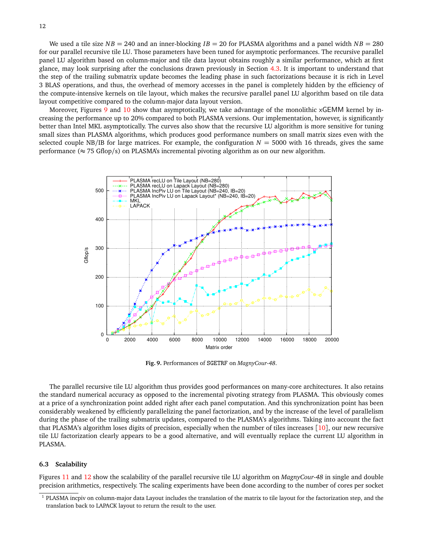We used a tile size  $NB = 240$  and an inner-blocking  $IB = 20$  for PLASMA algorithms and a panel width  $NB = 280$ for our parallel recursive tile LU. Those parameters have been tuned for asymptotic performances. The recursive parallel panel LU algorithm based on column-major and tile data layout obtains roughly a similar performance, which at first glance, may look surprising after the conclusions drawn previously in Section 4.3. It is important to understand that the step of the trailing submatrix update becomes the leading phase in such factorizations because it is rich in Level 3 BLAS operations, and thus, the overhead of memory accesses in the panel is completely hidden by the efficiency of the compute-intensive kernels on tile layout, which makes the recursive parallel panel LU algorithm based on tile data layout competitive compared to the column-major data layout version.

Moreover, Figures 9 and 10 show that asymptotically, we take advantage of the monolithic xGEMM kernel by increasing the performance up to 20% compared to both PLASMA versions. Our implementation, however, is significantly better than Intel MKL asymptotically. The curves also show that the recursive LU algorithm is more sensitive for tuning small sizes than PLASMA algorithms, which produces good performance numbers on small matrix sizes even with the selected couple NB/IB for large matrices. For example, the configuration  $N = 5000$  with 16 threads, gives the same performance ( $\approx$  75 Gflop/s) on PLASMA's incremental pivoting algorithm as on our new algorithm.



**Fig. 9.** Performances of SGETRF on *MagnyCour-48*.

The parallel recursive tile LU algorithm thus provides good performances on many-core architectures. It also retains the standard numerical accuracy as opposed to the incremental pivoting strategy from PLASMA. This obviously comes at a price of a synchronization point added right after each panel computation. And this synchronization point has been considerably weakened by efficiently parallelizing the panel factorization, and by the increase of the level of parallelism during the phase of the trailing submatrix updates, compared to the PLASMA's algorithms. Taking into account the fact that PLASMA's algorithm loses digits of precision, especially when the number of tiles increases [10], our new recursive tile LU factorization clearly appears to be a good alternative, and will eventually replace the current LU algorithm in PLASMA.

#### **6.3 Scalability**

Figures 11 and 12 show the scalability of the parallel recursive tile LU algorithm on *MagnyCour-48* in single and double precision arithmetics, respectively. The scaling experiments have been done according to the number of cores per socket

<sup>&</sup>lt;sup>1</sup> PLASMA incpiv on column-major data Layout includes the translation of the matrix to tile layout for the factorization step, and the translation back to LAPACK layout to return the result to the user.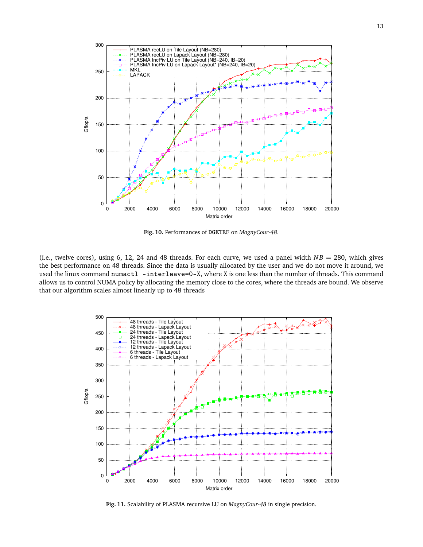

**Fig. 10.** Performances of DGETRF on *MagnyCour-48*.

(i.e., twelve cores), using 6, 12, 24 and 48 threads. For each curve, we used a panel width  $NB = 280$ , which gives the best performance on 48 threads. Since the data is usually allocated by the user and we do not move it around, we used the linux command numactl –interleave=0-X, where X is one less than the number of threads. This command allows us to control NUMA policy by allocating the memory close to the cores, where the threads are bound. We observe that our algorithm scales almost linearly up to 48 threads



**Fig. 11.** Scalability of PLASMA recursive LU on *MagnyCour-48* in single precision.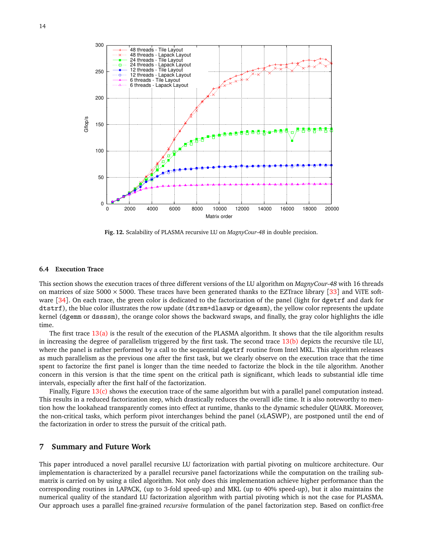

**Fig. 12.** Scalability of PLASMA recursive LU on *MagnyCour-48* in double precision.

#### **6.4 Execution Trace**

This section shows the execution traces of three different versions of the LU algorithm on *MagnyCour-48* with 16 threads on matrices of size 5000  $\times$  5000. These traces have been generated thanks to the EZTrace library [33] and ViTE software [34]. On each trace, the green color is dedicated to the factorization of the panel (light for dgetrf and dark for dtstrf), the blue color illustrates the row update (dtrsm+dlaswp or dgessm), the yellow color represents the update kernel (dgemm or dssssm), the orange color shows the backward swaps, and finally, the gray color highlights the idle time.

The first trace  $13(a)$  is the result of the execution of the PLASMA algorithm. It shows that the tile algorithm results in increasing the degree of parallelism triggered by the first task. The second trace 13(b) depicts the recursive tile LU, where the panel is rather performed by a call to the sequential dgetrf routine from Intel MKL. This algorithm releases as much parallelism as the previous one after the first task, but we clearly observe on the execution trace that the time spent to factorize the first panel is longer than the time needed to factorize the block in the tile algorithm. Another concern in this version is that the time spent on the critical path is significant, which leads to substantial idle time intervals, especially after the first half of the factorization.

Finally, Figure 13(c) shows the execution trace of the same algorithm but with a parallel panel computation instead. This results in a reduced factorization step, which drastically reduces the overall idle time. It is also noteworthy to mention how the lookahead transparently comes into effect at runtime, thanks to the dynamic scheduler QUARK. Moreover, the non-critical tasks, which perform pivot interchanges behind the panel (xLASWP), are postponed until the end of the factorization in order to stress the pursuit of the critical path.

#### **7 Summary and Future Work**

This paper introduced a novel parallel recursive LU factorization with partial pivoting on multicore architecture. Our implementation is characterized by a parallel recursive panel factorizations while the computation on the trailing submatrix is carried on by using a tiled algorithm. Not only does this implementation achieve higher performance than the corresponding routines in LAPACK, (up to 3-fold speed-up) and MKL (up to 40% speed-up), but it also maintains the numerical quality of the standard LU factorization algorithm with partial pivoting which is not the case for PLASMA. Our approach uses a parallel fine-grained *recursive* formulation of the panel factorization step. Based on conflict-free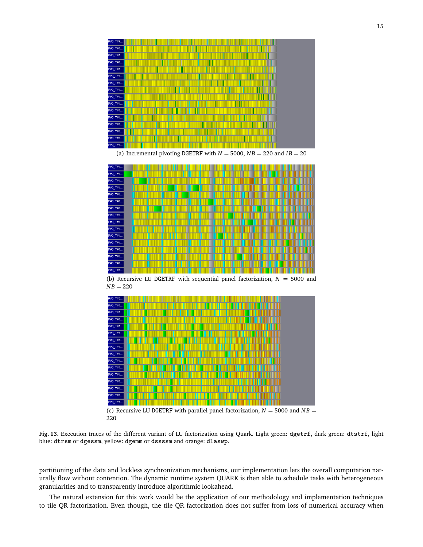

(a) Incremental pivoting DGETRF with  $N = 5000$ ,  $NB = 220$  and  $IB = 20$ 



(b) Recursive LU DGETRF with sequential panel factorization,  $N = 5000$  and  $NB = 220$ 



220

**Fig. 13.** Execution traces of the different variant of LU factorization using Quark. Light green: dgetrf, dark green: dtstrf, light blue: dtrsm or dgessm, yellow: dgemm or dssssm and orange: dlaswp.

partitioning of the data and lockless synchronization mechanisms, our implementation lets the overall computation naturally flow without contention. The dynamic runtime system QUARK is then able to schedule tasks with heterogeneous granularities and to transparently introduce algorithmic lookahead.

The natural extension for this work would be the application of our methodology and implementation techniques to tile QR factorization. Even though, the tile QR factorization does not suffer from loss of numerical accuracy when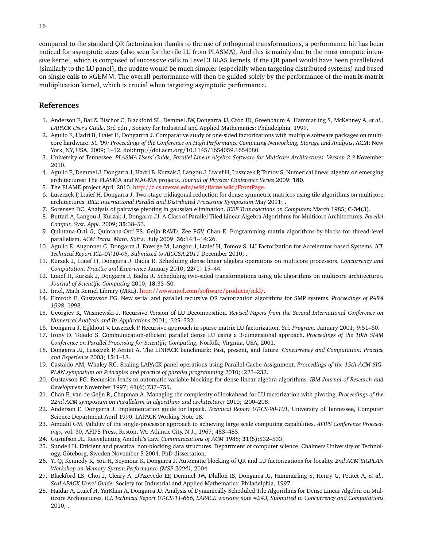compared to the standard QR factorization thanks to the use of orthogonal transformations, a performance hit has been noticed for asymptotic sizes (also seen for the tile LU from PLASMA). And this is mainly due to the most compute intensive kernel, which is composed of successive calls to Level 3 BLAS kernels. If the QR panel would have been parallelized (similarly to the LU panel), the update would be much simpler (especially when targeting distributed systems) and based on single calls to xGEMM. The overall performance will then be guided solely by the performance of the matrix-matrix multiplication kernel, which is crucial when targeting asymptotic performance.

## **References**

- 1. Anderson E, Bai Z, Bischof C, Blackford SL, Demmel JW, Dongarra JJ, Croz JD, Greenbaum A, Hammarling S, McKenney A, *et al.*. *LAPACK User's Guide*. 3rd edn., Society for Industrial and Applied Mathematics: Philadelphia, 1999.
- 2. Agullo E, Hadri B, Ltaief H, Dongarrra J. Comparative study of one-sided factorizations with multiple software packages on multicore hardware. *SC '09: Proceedings of the Conference on High Performance Computing Networking, Storage and Analysis*, ACM: New York, NY, USA, 2009; 1–12, doi:http://doi.acm.org/10.1145/1654059.1654080.
- 3. University of Tennessee. *PLASMA Users' Guide, Parallel Linear Algebra Software for Multicore Architectures, Version 2.3* November 2010.
- 4. Agullo E, Demmel J, Dongarra J, Hadri B, Kurzak J, Langou J, Ltaief H, Luszczek P, Tomov S. Numerical linear algebra on emerging architectures: The PLASMA and MAGMA projects. *Journal of Physics: Conference Series* 2009; **180**.
- 5. The FLAME project April 2010. http://[z.cs.utexas.edu](http://z.cs.utexas.edu/wiki/flame.wiki/FrontPage)/wiki/flame.wiki/FrontPage.
- 6. Luszczek P, Ltaief H, Dongarra J. Two-stage tridiagonal reduction for dense symmetric matrices using tile algorithms on multicore architectures. *IEEE International Parallel and Distributed Processing Symposium* May 2011; .
- 7. Sorensen DC. Analysis of pairwise pivoting in gaussian elimination. *IEEE Tranasactions on Computers* March 1985; **C-34**(3).
- 8. Buttari A, Langou J, Kurzak J, Dongarra JJ. A Class of Parallel Tiled Linear Algebra Algorithms for Multicore Architectures. *Parellel Comput. Syst. Appl.* 2009; **35**:38–53.
- 9. Quintana-Ortí G, Quintana-Ortí ES, Geijn RAVD, Zee FGV, Chan E. Programming matrix algorithms-by-blocks for thread-level parallelism. *ACM Trans. Math. Softw.* July 2009; **36**:14:1–14:26.
- 10. Agullo E, Augonnet C, Dongarra J, Faverge M, Langou J, Ltaief H, Tomov S. LU Factorization for Accelerator-based Systems. *ICL Technical Report ICL-UT-10-05, Submitted to AICCSA 2011* December 2010; .
- 11. Kurzak J, Ltaief H, Dongarra J, Badia R. Scheduling dense linear algebra operations on multicore processors. *Concurrency and Computation: Practice and Experience* January 2010; **22**(1):15–44.
- 12. Ltaief H, Kurzak J, Dongarra J, Badia R. Scheduling two-sided transformations using tile algorithms on multicore architectures. *Journal of Scientific Computing* 2010; **18**:33–50.
- 13. Intel, Math Kernel Library (MKL). http://[www.intel.com]( http://www.intel.com/software/products/mkl/)/software/products/mkl/.
- 14. Elmroth E, Gustavson FG. New serial and parallel recursive QR factorization algorithms for SMP systems. *Proceedings of PARA 1998*, 1998.
- 15. Georgiev K, Wasniewski J. Recursive Version of LU Decomposition. *Revised Papers from the Second International Conference on Numerical Analysis and Its Applications* 2001; :325–332.
- 16. Dongarra J, Eijkhout V, Luszczek P. Recursive approach in sparse matrix LU factorization. *Sci. Program.* January 2001; **9**:51–60.
- 17. Irony D, Toledo S. Communication-efficient parallel dense LU using a 3-dimensional approach. *Proceedings of the 10th SIAM Conference on Parallel Processing for Scientific Computing*, Norfolk, Virginia, USA, 2001.
- 18. Dongarra JJ, Luszczek P, Petitet A. The LINPACK benchmark: Past, present, and future. *Concurrency and Computation: Practice and Experience* 2003; **15**:1–18.
- 19. Castaldo AM, Whaley RC. Scaling LAPACK panel operations using Parallel Cache Assignment. *Proceedings of the 15th ACM SIG-PLAN symposium on Principles and practice of parallel programming* 2010; :223–232.
- 20. Gustavson FG. Recursion leads to automatic variable blocking for dense linear-algebra algorithms. *IBM Journal of Research and Development* November 1997; **41**(6):737–755.
- 21. Chan E, van de Geijn R, Chapman A. Managing the complexity of lookahead for LU factorization with pivoting. *Proceedings of the 22nd ACM symposium on Parallelism in algorithms and architectures* 2010; :200–208.
- 22. Anderson E, Dongarra J. Implementation guide for lapack. *Technical Report UT-CS-90-101*, University of Tennessee, Computer Science Department April 1990. LAPACK Working Note 18.
- 23. Amdahl GM. Validity of the single-processor approach to achieving large scale computing capabilities. *AFIPS Conference Proceedings*, vol. 30, AFIPS Press, Reston, VA: Atlantic City, N.J., 1967; 483–485.
- 24. Gustafson JL. Reevaluating Amdahl's Law. *Communications of ACM* 1988; **31**(5):532–533.
- 25. Sundell H. Efficient and practical non-blocking data structures. Department of computer science, Chalmers University of Technology, Göteborg, Sweden November 5 2004. PhD dissertation.
- 26. Yi Q, Kennedy K, You H, Seymour K, Dongarra J. Automatic blocking of QR and LU factorizations for locality. *2nd ACM SIGPLAN Workshop on Memory System Performance (MSP 2004)*, 2004.
- 27. Blackford LS, Choi J, Cleary A, D'Azevedo EF, Demmel JW, Dhillon IS, Dongarra JJ, Hammarling S, Henry G, Petitet A, *et al.*. *ScaLAPACK Users' Guide*. Society for Industrial and Applied Mathematics: Philadelphia, 1997.
- 28. Haidar A, Ltaief H, YarKhan A, Dongarra JJ. Analysis of Dynamically Scheduled Tile Algorithms for Dense Linear Algebra on Multicore Architectures. *ICL Technical Report UT-CS-11-666, LAPACK working note #243, Submitted to Concurrency and Computations* 2010; .